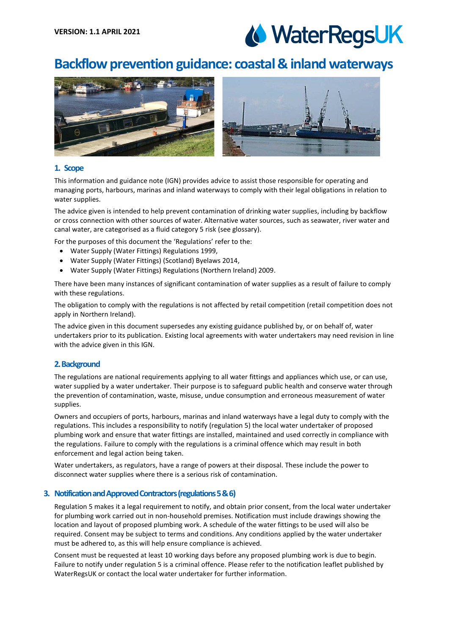# WaterRegsUK

# **Backflow prevention guidance: coastal & inland waterways**



# **1. Scope**

This information and guidance note (IGN) provides advice to assist those responsible for operating and managing ports, harbours, marinas and inland waterways to comply with their legal obligations in relation to water supplies.

The advice given is intended to help prevent contamination of drinking water supplies, including by backflow or cross connection with other sources of water. Alternative water sources, such as seawater, river water and canal water, are categorised as a fluid category 5 risk (see glossary).

For the purposes of this document the 'Regulations' refer to the:

- Water Supply (Water Fittings) Regulations 1999,
- Water Supply (Water Fittings) (Scotland) Byelaws 2014,
- Water Supply (Water Fittings) Regulations (Northern Ireland) 2009.

There have been many instances of significant contamination of water supplies as a result of failure to comply with these regulations.

The obligation to comply with the regulations is not affected by retail competition (retail competition does not apply in Northern Ireland).

The advice given in this document supersedes any existing guidance published by, or on behalf of, water undertakers prior to its publication. Existing local agreements with water undertakers may need revision in line with the advice given in this IGN.

# **2. Background**

The regulations are national requirements applying to all water fittings and appliances which use, or can use, water supplied by a water undertaker. Their purpose is to safeguard public health and conserve water through the prevention of contamination, waste, misuse, undue consumption and erroneous measurement of water supplies.

Owners and occupiers of ports, harbours, marinas and inland waterways have a legal duty to comply with the regulations. This includes a responsibility to notify (regulation 5) the local water undertaker of proposed plumbing work and ensure that water fittings are installed, maintained and used correctly in compliance with the regulations. Failure to comply with the regulations is a criminal offence which may result in both enforcement and legal action being taken.

Water undertakers, as regulators, have a range of powers at their disposal. These include the power to disconnect water supplies where there is a serious risk of contamination.

# **3. Notification and Approved Contractors (regulations 5 & 6)**

Regulation 5 makes it a legal requirement to notify, and obtain prior consent, from the local water undertaker for plumbing work carried out in non-household premises. Notification must include drawings showing the location and layout of proposed plumbing work. A schedule of the water fittings to be used will also be required. Consent may be subject to terms and conditions. Any conditions applied by the water undertaker must be adhered to, as this will help ensure compliance is achieved.

Consent must be requested at least 10 working days before any proposed plumbing work is due to begin. Failure to notify under regulation 5 is a criminal offence. Please refer to the notification leaflet published by WaterRegsUK or contact the local water undertaker for further information.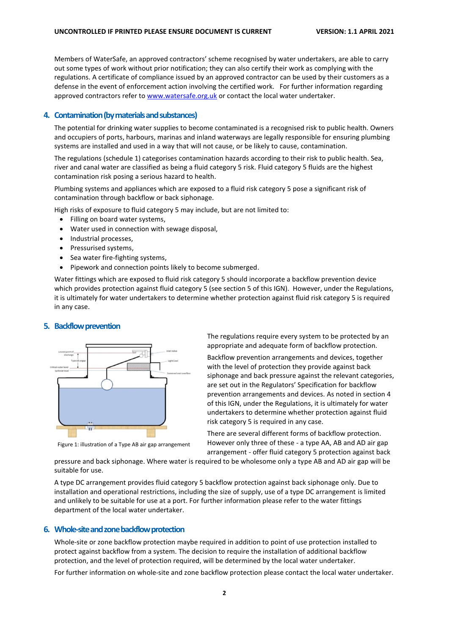Members of WaterSafe, an approved contractors' scheme recognised by water undertakers, are able to carry out some types of work without prior notification; they can also certify their work as complying with the regulations. A certificate of compliance issued by an approved contractor can be used by their customers as a defense in the event of enforcement action involving the certified work. For further information regarding approved contractors refer to [www.watersafe.org.uk](file:///C:/Users/catherine.powell/AppData/Local/Microsoft/Windows/INetCache/Content.Outlook/32D3Y9D9/www.watersafe.org.uk) or contact the local water undertaker.

# **4. Contamination (by materials and substances)**

The potential for drinking water supplies to become contaminated is a recognised risk to public health. Owners and occupiers of ports, harbours, marinas and inland waterways are legally responsible for ensuring plumbing systems are installed and used in a way that will not cause, or be likely to cause, contamination.

The regulations (schedule 1) categorises contamination hazards according to their risk to public health. Sea, river and canal water are classified as being a fluid category 5 risk. Fluid category 5 fluids are the highest contamination risk posing a serious hazard to health.

Plumbing systems and appliances which are exposed to a fluid risk category 5 pose a significant risk of contamination through backflow or back siphonage.

High risks of exposure to fluid category 5 may include, but are not limited to:

- Filling on board water systems,
- Water used in connection with sewage disposal,
- Industrial processes,
- Pressurised systems,
- Sea water fire-fighting systems,
- Pipework and connection points likely to become submerged.

Water fittings which are exposed to fluid risk category 5 should incorporate a backflow prevention device which provides protection against fluid category 5 (see section 5 of this IGN). However, under the Regulations, it is ultimately for water undertakers to determine whether protection against fluid risk category 5 is required in any case.

# **5. Backflow prevention**



Figure 1: illustration of a Type AB air gap arrangement

The regulations require every system to be protected by an appropriate and adequate form of backflow protection.

Backflow prevention arrangements and devices, together with the level of protection they provide against back siphonage and back pressure against the relevant categories, are set out in the Regulators' Specification for backflow prevention arrangements and devices. As noted in section 4 of this IGN, under the Regulations, it is ultimately for water undertakers to determine whether protection against fluid risk category 5 is required in any case.

There are several different forms of backflow protection. However only three of these - a type AA, AB and AD air gap arrangement - offer fluid category 5 protection against back

pressure and back siphonage. Where water is required to be wholesome only a type AB and AD air gap will be suitable for use.

A type DC arrangement provides fluid category 5 backflow protection against back siphonage only. Due to installation and operational restrictions, including the size of supply, use of a type DC arrangement is limited and unlikely to be suitable for use at a port. For further information please refer to the water fittings department of the local water undertaker.

#### **6. Whole-site and zone backflow protection**

Whole-site or zone backflow protection maybe required in addition to point of use protection installed to protect against backflow from a system. The decision to require the installation of additional backflow protection, and the level of protection required, will be determined by the local water undertaker.

For further information on whole-site and zone backflow protection please contact the local water undertaker.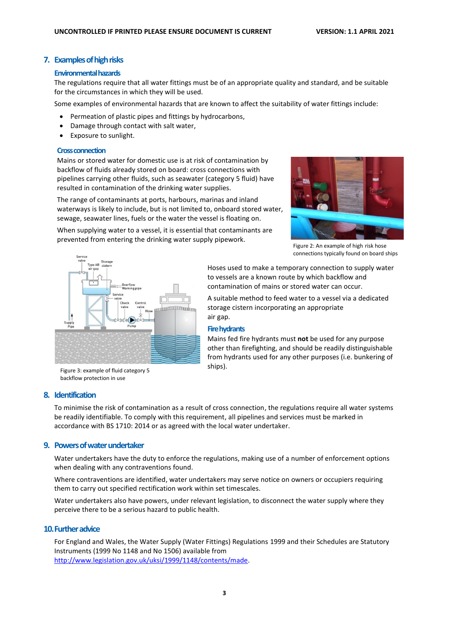# **7. Examples of high risks**

#### **Environmental hazards**

The regulations require that all water fittings must be of an appropriate quality and standard, and be suitable for the circumstances in which they will be used.

Some examples of environmental hazards that are known to affect the suitability of water fittings include:

- Permeation of plastic pipes and fittings by hydrocarbons,
- Damage through contact with salt water,
- Exposure to sunlight.

#### **Cross connection**

Mains or stored water for domestic use is at risk of contamination by backflow of fluids already stored on board: cross connections with pipelines carrying other fluids, such as seawater (category 5 fluid) have resulted in contamination of the drinking water supplies.

The range of contaminants at ports, harbours, marinas and inland waterways is likely to include, but is not limited to, onboard stored water, sewage, seawater lines, fuels or the water the vessel is floating on.

When supplying water to a vessel, it is essential that contaminants are

prevented from entering the drinking water supply pipework.



Figure 2: An example of high risk hose connections typically found on board ships



Hoses used to make a temporary connection to supply water to vessels are a known route by which backflow and contamination of mains or stored water can occur.

A suitable method to feed water to a vessel via a dedicated storage cistern incorporating an appropriate air gap.

#### **Firehydrants**

Mains fed fire hydrants must **not** be used for any purpose other than firefighting, and should be readily distinguishable from hydrants used for any other purposes (i.e. bunkering of ships).

Figure 3: example of fluid category 5 backflow protection in use

## **8. Identification**

To minimise the risk of contamination as a result of cross connection, the regulations require all water systems be readily identifiable. To comply with this requirement, all pipelines and services must be marked in accordance with BS 1710: 2014 or as agreed with the local water undertaker.

# **9. Powers of water undertaker**

Water undertakers have the duty to enforce the regulations, making use of a number of enforcement options when dealing with any contraventions found.

Where contraventions are identified, water undertakers may serve notice on owners or occupiers requiring them to carry out specified rectification work within set timescales.

Water undertakers also have powers, under relevant legislation, to disconnect the water supply where they perceive there to be a serious hazard to public health.

# **10.Further advice**

For England and Wales, the Water Supply (Water Fittings) Regulations 1999 and their Schedules are Statutory Instruments (1999 No 1148 and No 1506) available from [http://www.legislation.gov.uk/uksi/1999/1148/contents/made.](http://www.legislation.gov.uk/uksi/1999/1148/contents/made)